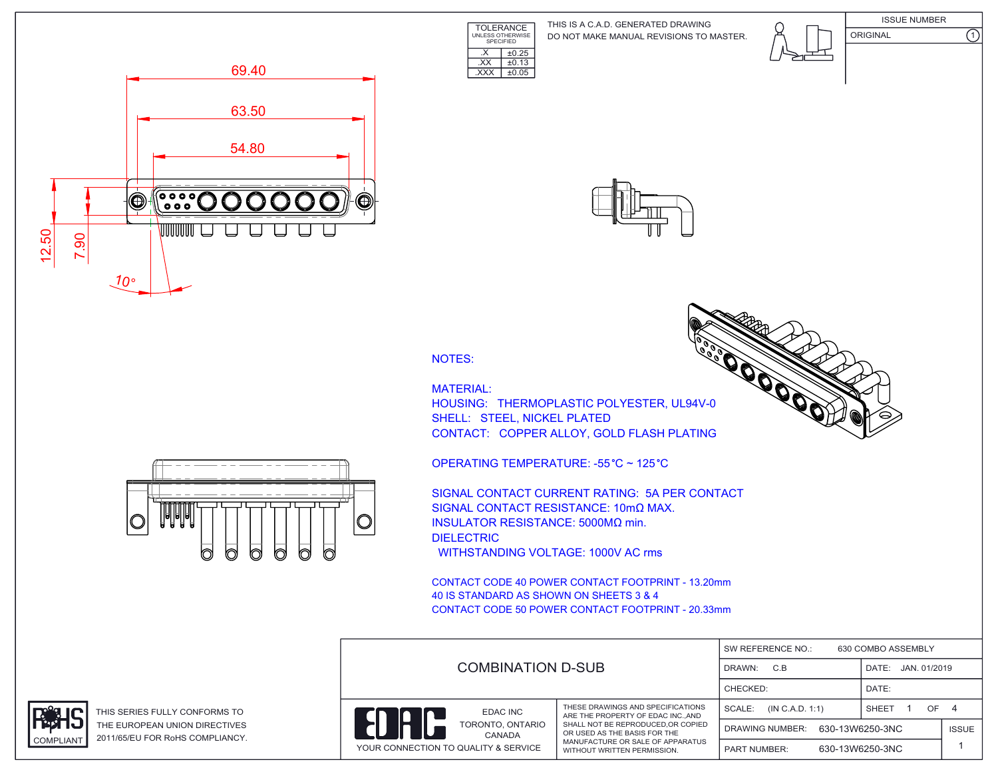**TOLERANCE** UNLESS OTHERWISE SPECIFIED DO NOT MAKE MANUAL REVISIONS TO MASTER. THIS IS A C.A.D. GENERATED DRAWING









NOTES:

 $\overline{XX}$   $\pm 0.13$ .XXX ±0.05

 $\overline{\text{X}}$   $\overline{\text{+0.25}}$ 

MATERIAL: HOUSING: THERMOPLASTIC POLYESTER, UL94 SHELL: STEEL, NICKEL PLATED CONTACT: COPPER ALLOY, GOLD FLASH PLAT

OPERATING TEMPERATURE: -55 °C ~ 125 °C

SIGNAL CONTACT CURRENT RATING: 5A PER CONTACT SIGNAL CONTACT RESISTANCE: 10mΩ MAX. INSULATOR RESISTANCE: 5000MΩ min. DIELECTRIC WITHSTANDING VOLTAGE: 1000V AC rms

CONTACT CODE 40 POWER CONTACT FOOTPRINT - 13.20mm 40 IS STANDARD AS SHOWN ON SHEETS 3 & 4 CONTACT CODE 50 POWER CONTACT FOOTPRINT - 20.33mm

|  | <b>COMBINATION D-SUB</b>             |                                                                                                                                      | SW REFERENCE NO.:<br>630 COMBO ASSEMBLY   |                 |              |  |
|--|--------------------------------------|--------------------------------------------------------------------------------------------------------------------------------------|-------------------------------------------|-----------------|--------------|--|
|  |                                      |                                                                                                                                      | C.B<br>DATE: JAN. 01/2019<br>DRAWN:       |                 |              |  |
|  |                                      |                                                                                                                                      | CHECKED:                                  | DATE:           |              |  |
|  | EDAC INC                             | THESE DRAWINGS AND SPECIFICATIONS<br>ARE THE PROPERTY OF EDAC INC., AND                                                              | SCALE:<br>(IN C.A.D. 1:1)                 | OF<br>SHEET     | 4            |  |
|  | TORONTO, ONTARIO<br>CANADA           | SHALL NOT BE REPRODUCED.OR COPIED<br>OR USED AS THE BASIS FOR THE<br>MANUFACTURE OR SALE OF APPARATUS<br>WITHOUT WRITTEN PERMISSION. | 630-13W6250-3NC<br><b>DRAWING NUMBER:</b> |                 | <b>ISSUE</b> |  |
|  | YOUR CONNECTION TO QUALITY & SERVICE |                                                                                                                                      | <b>PART NUMBER:</b>                       | 630-13W6250-3NC |              |  |





THIS SERIES FULLY CONFORMS TO THE EUROPEAN UNION DIRECTIVES COMPLIANT 2011/65/EU FOR RoHS COMPLIANCY.

| <b>POOOT</b> |  |  |
|--------------|--|--|
| $4V-0$       |  |  |
| <b>TING</b>  |  |  |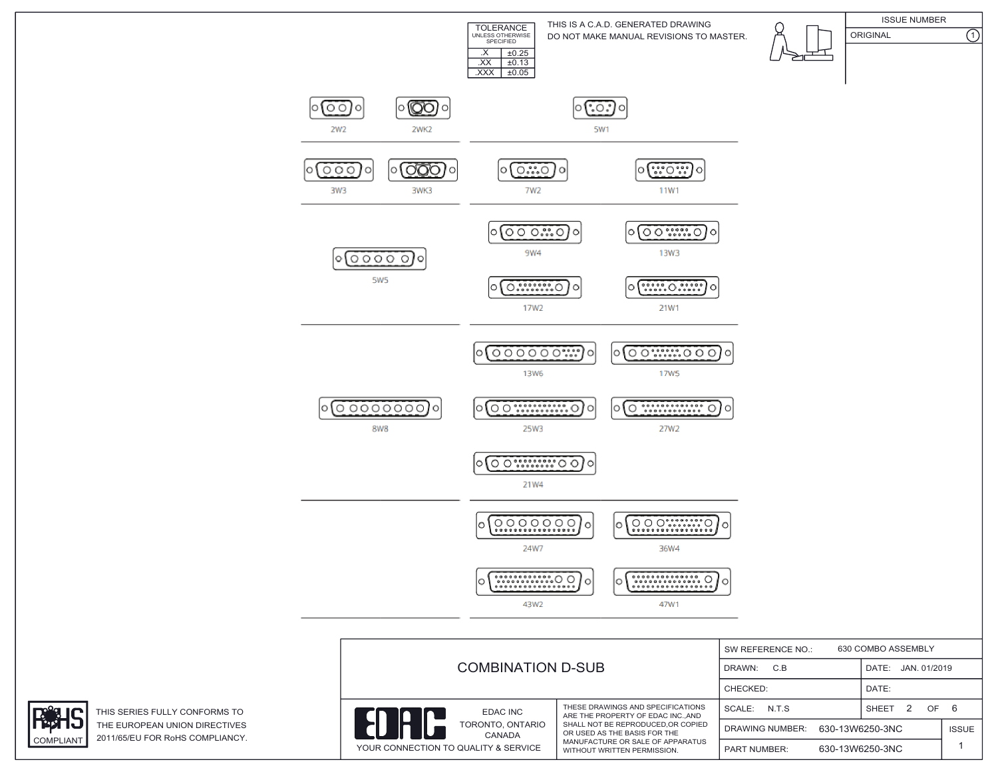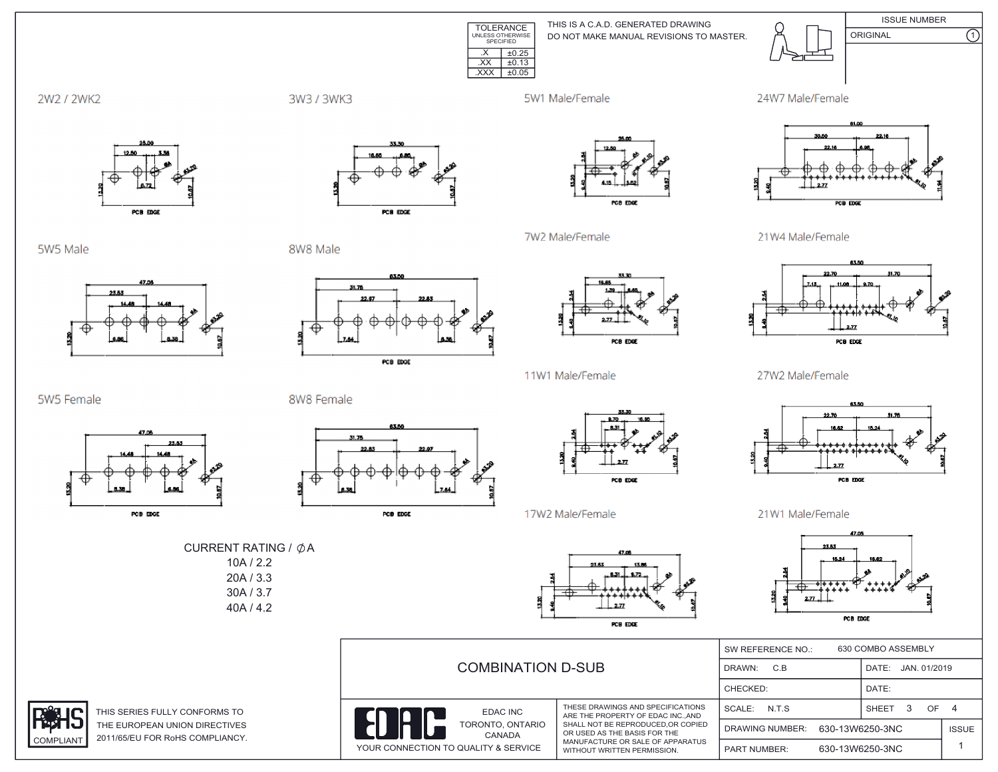

THIS IS A C.A.D. GENERATED DRAWING DO NOT MAKE MANUAL REVISIONS TO MASTER.



**ISSUE NUMBER** ORIGINAL

 $\overline{\Omega}$ 



3W3 / 3WK3

5W1 Male/Female

7W2 Male/Female





5W5 Male



PCB EDGE

8W8 Male





 $2.77$ 

27W2 Male/Female

21W4 Male/Female



PCB EDGE

21W1 Male/Female



|  | <b>COMBINATION D-SUB</b>             |                                                                                                                                       | 630 COMBO ASSEMBLY<br>SW REFERENCE NO.: |                 |                    |  |
|--|--------------------------------------|---------------------------------------------------------------------------------------------------------------------------------------|-----------------------------------------|-----------------|--------------------|--|
|  |                                      |                                                                                                                                       | C.B<br>DRAWN:                           |                 | DATE: JAN. 01/2019 |  |
|  |                                      |                                                                                                                                       | CHECKED:                                | DATE:           |                    |  |
|  | <b>EDAC INC</b>                      | THESE DRAWINGS AND SPECIFICATIONS<br>ARE THE PROPERTY OF EDAC INCAND                                                                  | N.T.S<br>SCALE:                         | SHEET<br>з      | OF 4               |  |
|  | TORONTO, ONTARIO<br>CANADA           | SHALL NOT BE REPRODUCED, OR COPIED<br>OR USED AS THE BASIS FOR THE<br>MANUFACTURE OR SALE OF APPARATUS<br>WITHOUT WRITTEN PERMISSION. | <b>DRAWING NUMBER:</b>                  | 630-13W6250-3NC | <b>ISSUE</b>       |  |
|  | YOUR CONNECTION TO QUALITY & SERVICE |                                                                                                                                       | <b>PART NUMBER:</b>                     | 630-13W6250-3NC |                    |  |





8W8 Female





11W1 Male/Female





THIS SERIES FULLY CONFORMS TO THE EUROPEAN UNION DIRECTIVE 2011/65/EU FOR RoHS COMPLIANCY COMPLIANT



PCB EDGE

PCB EDGE